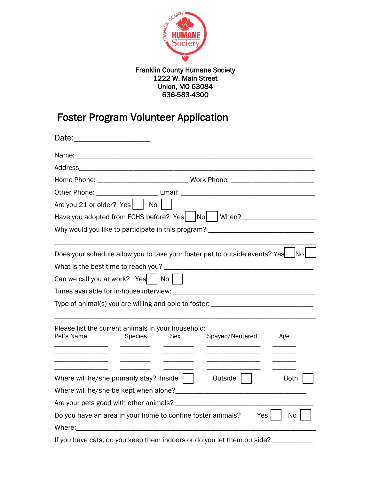

## Franklin County Humane Society 1222 W. Main Street Union, MO 63084 636-583-4300

## Foster Program Volunteer Application

| Other Phone: _________________________ Email: __________________________________                                                                                                                                                                                                              |                |     |                 |             |
|-----------------------------------------------------------------------------------------------------------------------------------------------------------------------------------------------------------------------------------------------------------------------------------------------|----------------|-----|-----------------|-------------|
| Are you 21 or older? Yes $ $ $ $ No $ $                                                                                                                                                                                                                                                       |                |     |                 |             |
| Have you adopted from FCHS before? Yes   No   When? ____________________________                                                                                                                                                                                                              |                |     |                 |             |
| Why would you like to participate in this program? _____________________________                                                                                                                                                                                                              |                |     |                 |             |
| Does your schedule allow you to take your foster pet to outside events? Yes                                                                                                                                                                                                                   |                |     |                 | No l        |
| What is the best time to reach you?                                                                                                                                                                                                                                                           |                |     |                 |             |
| Can we call you at work? Yes $ $ No $ $                                                                                                                                                                                                                                                       |                |     |                 |             |
|                                                                                                                                                                                                                                                                                               |                |     |                 |             |
| Type of animal(s) you are willing and able to foster: __________________________                                                                                                                                                                                                              |                |     |                 |             |
| Please list the current animals in your household:<br>Pet's Name                                                                                                                                                                                                                              | <b>Species</b> | Sex | Spayed/Neutered | Age         |
|                                                                                                                                                                                                                                                                                               |                |     |                 |             |
| Where will he/she primarily stay? Inside $\vert \vert$                                                                                                                                                                                                                                        |                |     | Outside         | <b>Both</b> |
|                                                                                                                                                                                                                                                                                               |                |     |                 |             |
|                                                                                                                                                                                                                                                                                               |                |     |                 |             |
| Do you have an area in your home to confine foster animals?<br>Where: where the contract of the contract of the contract of the contract of the contract of the contract of the contract of the contract of the contract of the contract of the contract of the contract of the contract of t |                |     | Yes             | No          |
| If you have cats, do you keep them indoors or do you let them outside?                                                                                                                                                                                                                        |                |     |                 |             |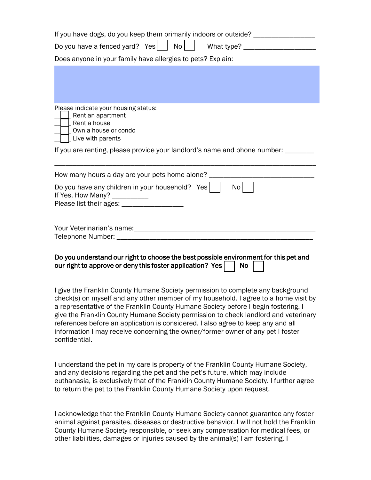| If you have dogs, do you keep them primarily indoors or outside? _______________                                                                                                                                                                                                                                                                                                                                                                                                                                                            |  |  |  |  |  |
|---------------------------------------------------------------------------------------------------------------------------------------------------------------------------------------------------------------------------------------------------------------------------------------------------------------------------------------------------------------------------------------------------------------------------------------------------------------------------------------------------------------------------------------------|--|--|--|--|--|
| Do you have a fenced yard? Yes $\vert$<br>No <sub>1</sub>                                                                                                                                                                                                                                                                                                                                                                                                                                                                                   |  |  |  |  |  |
| Does anyone in your family have allergies to pets? Explain:                                                                                                                                                                                                                                                                                                                                                                                                                                                                                 |  |  |  |  |  |
|                                                                                                                                                                                                                                                                                                                                                                                                                                                                                                                                             |  |  |  |  |  |
| Please indicate your housing status:<br>Rent an apartment<br>Rent a house<br>Own a house or condo<br>Live with parents                                                                                                                                                                                                                                                                                                                                                                                                                      |  |  |  |  |  |
| If you are renting, please provide your landlord's name and phone number: ______                                                                                                                                                                                                                                                                                                                                                                                                                                                            |  |  |  |  |  |
| How many hours a day are your pets home alone?<br>Do you have any children in your household? Yes<br>No l<br>If Yes, How Many? __________<br>Please list their ages: _______                                                                                                                                                                                                                                                                                                                                                                |  |  |  |  |  |
|                                                                                                                                                                                                                                                                                                                                                                                                                                                                                                                                             |  |  |  |  |  |
| Do you understand our right to choose the best possible environment for this pet and<br>our right to approve or deny this foster application? Yes<br><b>No</b>                                                                                                                                                                                                                                                                                                                                                                              |  |  |  |  |  |
| I give the Franklin County Humane Society permission to complete any background<br>check(s) on myself and any other member of my household. I agree to a home visit by<br>a representative of the Franklin County Humane Society before I begin fostering. I<br>give the Franklin County Humane Society permission to check landlord and veterinary<br>references before an application is considered. I also agree to keep any and all<br>information I may receive concerning the owner/former owner of any pet I foster<br>confidential. |  |  |  |  |  |

I understand the pet in my care is property of the Franklin County Humane Society, and any decisions regarding the pet and the pet's future, which may include euthanasia, is exclusively that of the Franklin County Humane Society. I further agree to return the pet to the Franklin County Humane Society upon request.

I acknowledge that the Franklin County Humane Society cannot guarantee any foster animal against parasites, diseases or destructive behavior. I will not hold the Franklin County Humane Society responsible, or seek any compensation for medical fees, or other liabilities, damages or injuries caused by the animal(s) I am fostering. I